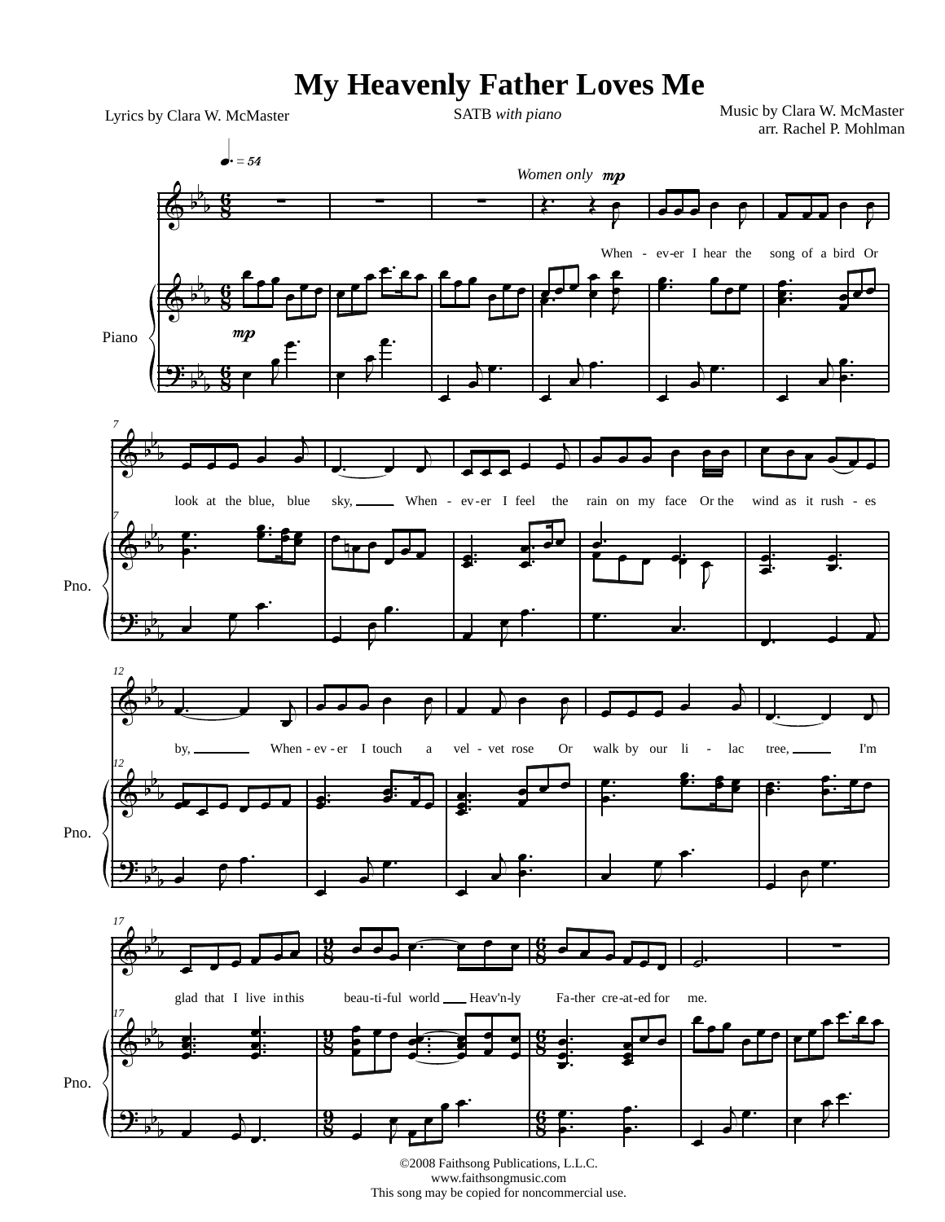## **My Heavenly Father Loves Me**

arr. Rachel P. Mohlman Lyrics by Clara W. McMaster SATB *with piano*

Music by Clara W. McMaster



www.faithsongmusic.com This song may be copied for noncommercial use.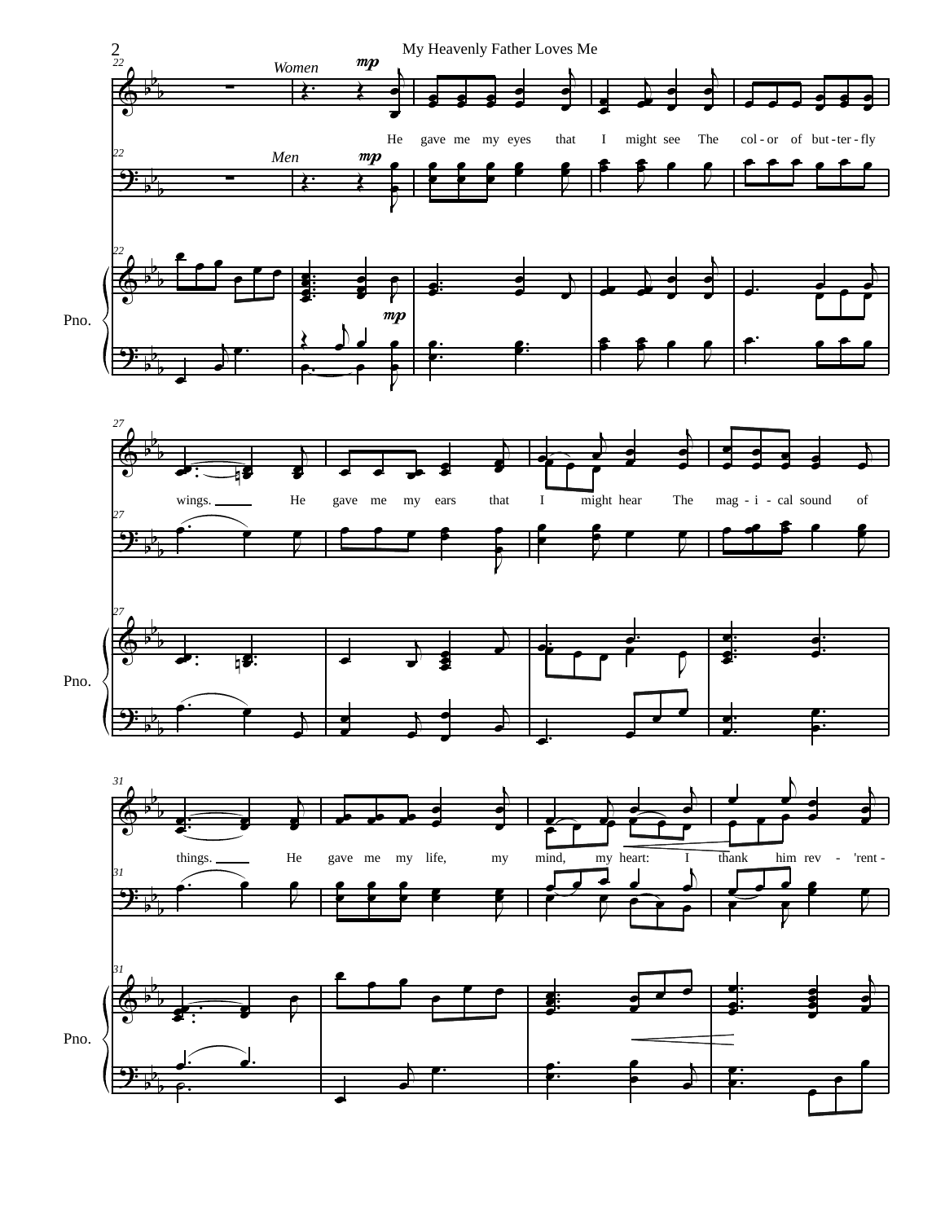